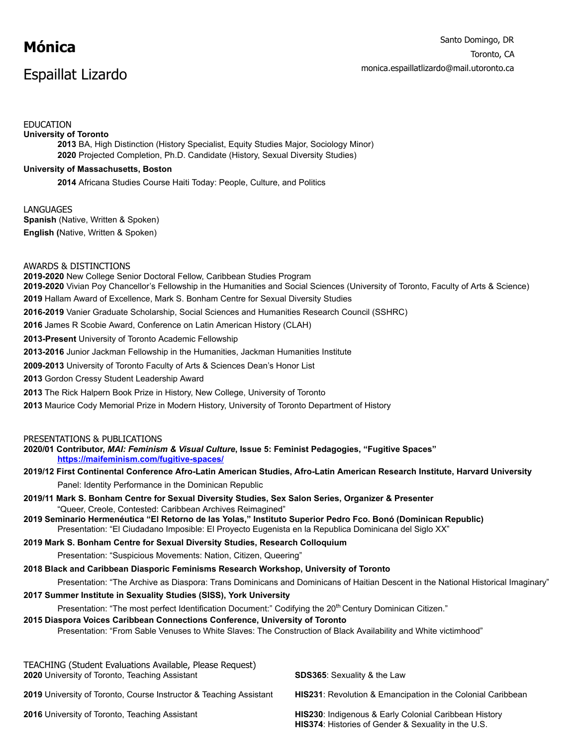# **Mónica**

## Espaillat Lizardo

### EDUCATION

**University of Toronto 2013** BA, High Distinction (History Specialist, Equity Studies Major, Sociology Minor) **2020** Projected Completion, Ph.D. Candidate (History, Sexual Diversity Studies)

#### **University of Massachusetts, Boston**

**2014** Africana Studies Course Haiti Today: People, Culture, and Politics

**LANGUAGES Spanish (Native, Written & Spoken) English (Native, Written & Spoken)** 

AWARDS & DISTINCTIONS

**2019-2020** New College Senior Doctoral Fellow, Caribbean Studies Program **2019-2020** Vivian Poy Chancellor's Fellowship in the Humanities and Social Sciences (University of Toronto, Faculty of Arts & Science) **2019** Hallam Award of Excellence, Mark S. Bonham Centre for Sexual Diversity Studies **2016-2019** Vanier Graduate Scholarship, Social Sciences and Humanities Research Council (SSHRC) **2016** James R Scobie Award, Conference on Latin American History (CLAH) **2013-Present** University of Toronto Academic Fellowship **2013-2016** Junior Jackman Fellowship in the Humanities, Jackman Humanities Institute **2009-2013** University of Toronto Faculty of Arts & Sciences Dean's Honor List **2013** Gordon Cressy Student Leadership Award **2013** The Rick Halpern Book Prize in History, New College, University of Toronto **2013** Maurice Cody Memorial Prize in Modern History, University of Toronto Department of History PRESENTATIONS & PUBLICATIONS **2020/01 Contributor,** *MAI: Feminism & Visual Culture* **, Issue 5: Feminist Pedagogies, "Fugitive Spaces" <https://maifeminism.com/fugitive-spaces/> 2019/12 First Continental Conference Afro-Latin American Studies, Afro-Latin American Research Institute, Harvard University**  Panel: Identity Performance in the Dominican Republic **2019/11 Mark S. Bonham Centre for Sexual Diversity Studies, Sex Salon Series, Organizer & Presenter**  "Queer, Creole, Contested: Caribbean Archives Reimagined"

**2019 Seminario Hermenéutica "El Retorno de las Yolas," Instituto Superior Pedro Fco. Bonó (Dominican Republic)**  Presentation: "El Ciudadano Imposible: El Proyecto Eugenista en la Republica Dominicana del Siglo XX"

#### **2019 Mark S. Bonham Centre for Sexual Diversity Studies, Research Colloquium**

Presentation: "Suspicious Movements: Nation, Citizen, Queering"

#### **2018 Black and Caribbean Diasporic Feminisms Research Workshop, University of Toronto**

Presentation: "The Archive as Diaspora: Trans Dominicans and Dominicans of Haitian Descent in the National Historical Imaginary"

#### **2017 Summer Institute in Sexuality Studies (SISS), York University**

Presentation: "The most perfect Identification Document:" Codifying the 20<sup>th</sup> Century Dominican Citizen."

#### **2015 Diaspora Voices Caribbean Connections Conference, University of Toronto**

Presentation: "From Sable Venuses to White Slaves: The Construction of Black Availability and White victimhood"

| TEACHING (Student Evaluations Available, Please Request)<br>2020 University of Toronto, Teaching Assistant | <b>SDS365:</b> Sexuality & the Law                                                                                  |
|------------------------------------------------------------------------------------------------------------|---------------------------------------------------------------------------------------------------------------------|
| 2019 University of Toronto, Course Instructor & Teaching Assistant                                         | <b>HIS231:</b> Revolution & Emancipation in the Colonial Caribbean                                                  |
| <b>2016</b> University of Toronto, Teaching Assistant                                                      | HIS230: Indigenous & Early Colonial Caribbean History<br><b>HIS374:</b> Histories of Gender & Sexuality in the U.S. |